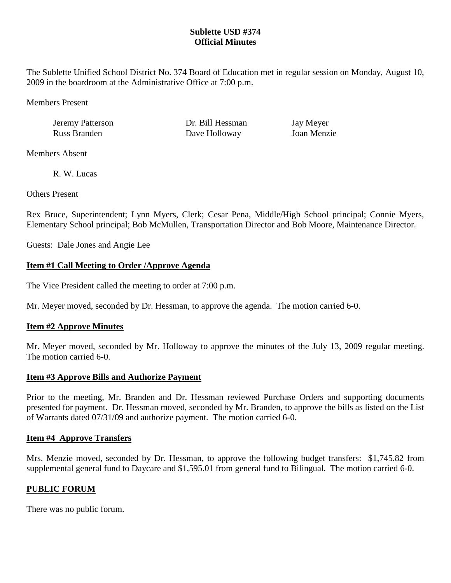## **Sublette USD #374 Official Minutes**

The Sublette Unified School District No. 374 Board of Education met in regular session on Monday, August 10, 2009 in the boardroom at the Administrative Office at 7:00 p.m.

Members Present

| Jeremy Patterson |  |
|------------------|--|
| Russ Branden     |  |

Dr. Bill Hessman Jay Meyer Dave Holloway Joan Menzie

Members Absent

R. W. Lucas

Others Present

Rex Bruce, Superintendent; Lynn Myers, Clerk; Cesar Pena, Middle/High School principal; Connie Myers, Elementary School principal; Bob McMullen, Transportation Director and Bob Moore, Maintenance Director.

Guests: Dale Jones and Angie Lee

# **Item #1 Call Meeting to Order /Approve Agenda**

The Vice President called the meeting to order at 7:00 p.m.

Mr. Meyer moved, seconded by Dr. Hessman, to approve the agenda. The motion carried 6-0.

# **Item #2 Approve Minutes**

Mr. Meyer moved, seconded by Mr. Holloway to approve the minutes of the July 13, 2009 regular meeting. The motion carried 6-0.

# **Item #3 Approve Bills and Authorize Payment**

Prior to the meeting, Mr. Branden and Dr. Hessman reviewed Purchase Orders and supporting documents presented for payment. Dr. Hessman moved, seconded by Mr. Branden, to approve the bills as listed on the List of Warrants dated 07/31/09 and authorize payment. The motion carried 6-0.

## **Item #4 Approve Transfers**

Mrs. Menzie moved, seconded by Dr. Hessman, to approve the following budget transfers: \$1,745.82 from supplemental general fund to Daycare and \$1,595.01 from general fund to Bilingual. The motion carried 6-0.

# **PUBLIC FORUM**

There was no public forum.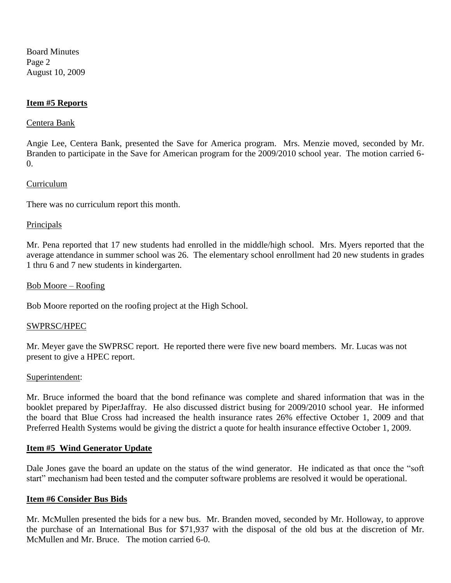Board Minutes Page 2 August 10, 2009

### **Item #5 Reports**

### Centera Bank

Angie Lee, Centera Bank, presented the Save for America program. Mrs. Menzie moved, seconded by Mr. Branden to participate in the Save for American program for the 2009/2010 school year. The motion carried 6-  $\Omega$ .

### Curriculum

There was no curriculum report this month.

### Principals

Mr. Pena reported that 17 new students had enrolled in the middle/high school. Mrs. Myers reported that the average attendance in summer school was 26. The elementary school enrollment had 20 new students in grades 1 thru 6 and 7 new students in kindergarten.

### Bob Moore – Roofing

Bob Moore reported on the roofing project at the High School.

#### SWPRSC/HPEC

Mr. Meyer gave the SWPRSC report. He reported there were five new board members. Mr. Lucas was not present to give a HPEC report.

#### Superintendent:

Mr. Bruce informed the board that the bond refinance was complete and shared information that was in the booklet prepared by PiperJaffray. He also discussed district busing for 2009/2010 school year. He informed the board that Blue Cross had increased the health insurance rates 26% effective October 1, 2009 and that Preferred Health Systems would be giving the district a quote for health insurance effective October 1, 2009.

### **Item #5 Wind Generator Update**

Dale Jones gave the board an update on the status of the wind generator. He indicated as that once the "soft start" mechanism had been tested and the computer software problems are resolved it would be operational.

#### **Item #6 Consider Bus Bids**

Mr. McMullen presented the bids for a new bus. Mr. Branden moved, seconded by Mr. Holloway, to approve the purchase of an International Bus for \$71,937 with the disposal of the old bus at the discretion of Mr. McMullen and Mr. Bruce. The motion carried 6-0.